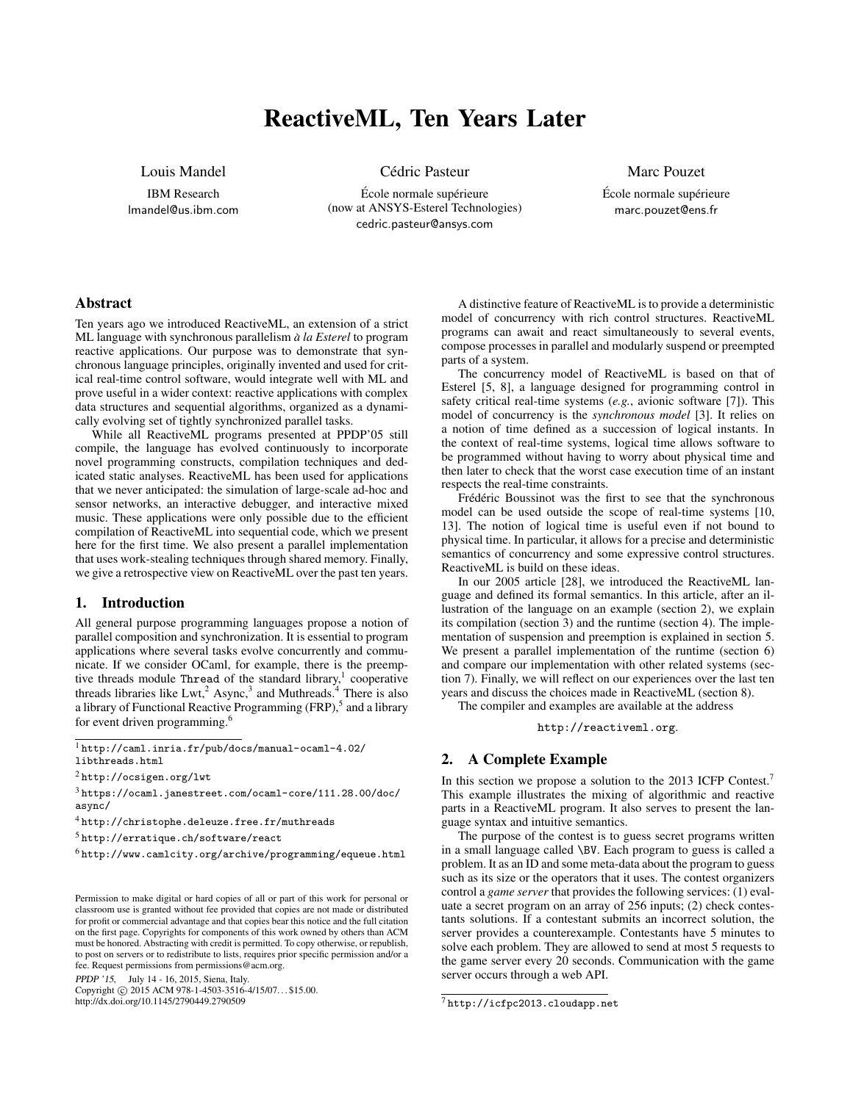# ReactiveML, Ten Years Later

Louis Mandel

IBM Research lmandel@us.ibm.com Cédric Pasteur

École normale supérieure (now at ANSYS-Esterel Technologies) cedric.pasteur@ansys.com

Marc Pouzet École normale supérieure marc.pouzet@ens.fr

# Abstract

Ten years ago we introduced ReactiveML, an extension of a strict ML language with synchronous parallelism  $\hat{a}$  la Esterel to program reactive applications. Our purpose was to demonstrate that synchronous language principles, originally invented and used for critical real-time control software, would integrate well with ML and prove useful in a wider context: reactive applications with complex data structures and sequential algorithms, organized as a dynamically evolving set of tightly synchronized parallel tasks.

While all ReactiveML programs presented at PPDP'05 still compile, the language has evolved continuously to incorporate novel programming constructs, compilation techniques and dedicated static analyses. ReactiveML has been used for applications that we never anticipated: the simulation of large-scale ad-hoc and sensor networks, an interactive debugger, and interactive mixed music. These applications were only possible due to the efficient compilation of ReactiveML into sequential code, which we present here for the first time. We also present a parallel implementation that uses work-stealing techniques through shared memory. Finally, we give a retrospective view on ReactiveML over the past ten years.

# 1. Introduction

All general purpose programming languages propose a notion of parallel composition and synchronization. It is essential to program applications where several tasks evolve concurrently and communicate. If we consider OCaml, for example, there is the preemp-tive threads module Thread of the standard library,<sup>[1](#page-0-0)</sup> cooperative threads libraries like  $Lwt<sub>1</sub><sup>2</sup>$  $Lwt<sub>1</sub><sup>2</sup>$  $Lwt<sub>1</sub><sup>2</sup>$  Async,<sup>[3](#page-0-2)</sup> and Muthreads.<sup>[4](#page-0-3)</sup> There is also a library of Functional Reactive Programming (FRP),<sup>[5](#page-0-4)</sup> and a library for event driven programming.<sup>[6](#page-0-5)</sup>

<span id="page-0-0"></span><sup>1</sup> [http://caml.inria.fr/pub/docs/manual-ocaml-4.02/](http://caml.inria.fr/pub/docs/manual-ocaml-4.02/libthreads.html) [libthreads.html](http://caml.inria.fr/pub/docs/manual-ocaml-4.02/libthreads.html)

<span id="page-0-2"></span><sup>3</sup> [https://ocaml.janestreet.com/ocaml-core/111.28.00/doc/](https://ocaml.janestreet.com/ocaml-core/111.28.00/doc/async/) [async/](https://ocaml.janestreet.com/ocaml-core/111.28.00/doc/async/)

<span id="page-0-3"></span><sup>4</sup> <http://christophe.deleuze.free.fr/muthreads>

<span id="page-0-4"></span><sup>5</sup> <http://erratique.ch/software/react>

<span id="page-0-5"></span><sup>6</sup> <http://www.camlcity.org/archive/programming/equeue.html>

PPDP '15, July 14 - 16, 2015, Siena, Italy.

Copyright © 2015 ACM 978-1-4503-3516-4/15/07... \$15.00. http://dx.doi.org/10.1145/2790449.2790509

A distinctive feature of ReactiveML is to provide a deterministic model of concurrency with rich control structures. ReactiveML programs can await and react simultaneously to several events, compose processes in parallel and modularly suspend or preempted parts of a system.

The concurrency model of ReactiveML is based on that of Esterel [\[5,](#page-10-0) [8\]](#page-11-0), a language designed for programming control in safety critical real-time systems (*e.g.*, avionic software [\[7\]](#page-11-1)). This model of concurrency is the *synchronous model* [\[3\]](#page-10-1). It relies on a notion of time defined as a succession of logical instants. In the context of real-time systems, logical time allows software to be programmed without having to worry about physical time and then later to check that the worst case execution time of an instant respects the real-time constraints.

Frédéric Boussinot was the first to see that the synchronous model can be used outside the scope of real-time systems [\[10,](#page-11-2) [13\]](#page-11-3). The notion of logical time is useful even if not bound to physical time. In particular, it allows for a precise and deterministic semantics of concurrency and some expressive control structures. ReactiveML is build on these ideas.

In our 2005 article [\[28\]](#page-11-4), we introduced the ReactiveML language and defined its formal semantics. In this article, after an illustration of the language on an example (section [2\)](#page-0-6), we explain its compilation (section [3\)](#page-2-0) and the runtime (section [4\)](#page-4-0). The implementation of suspension and preemption is explained in section [5.](#page-6-0) We present a parallel implementation of the runtime (section [6\)](#page-7-0) and compare our implementation with other related systems (section [7\)](#page-8-0). Finally, we will reflect on our experiences over the last ten years and discuss the choices made in ReactiveML (section [8\)](#page-8-1).

The compiler and examples are available at the address

<http://reactiveml.org>.

#### <span id="page-0-6"></span>2. A Complete Example

In this section we propose a solution to the 2013 ICFP Contest.[7](#page-0-7) This example illustrates the mixing of algorithmic and reactive parts in a ReactiveML program. It also serves to present the language syntax and intuitive semantics.

The purpose of the contest is to guess secret programs written in a small language called \BV. Each program to guess is called a problem. It as an ID and some meta-data about the program to guess such as its size or the operators that it uses. The contest organizers control a *game server* that provides the following services: (1) evaluate a secret program on an array of 256 inputs; (2) check contestants solutions. If a contestant submits an incorrect solution, the server provides a counterexample. Contestants have 5 minutes to solve each problem. They are allowed to send at most 5 requests to the game server every 20 seconds. Communication with the game server occurs through a web API.

<span id="page-0-1"></span><sup>2</sup> <http://ocsigen.org/lwt>

Permission to make digital or hard copies of all or part of this work for personal or classroom use is granted without fee provided that copies are not made or distributed for profit or commercial advantage and that copies bear this notice and the full citation on the first page. Copyrights for components of this work owned by others than ACM must be honored. Abstracting with credit is permitted. To copy otherwise, or republish, to post on servers or to redistribute to lists, requires prior specific permission and/or a fee. Request permissions from permissions@acm.org.

<span id="page-0-7"></span> $7$ <http://icfpc2013.cloudapp.net>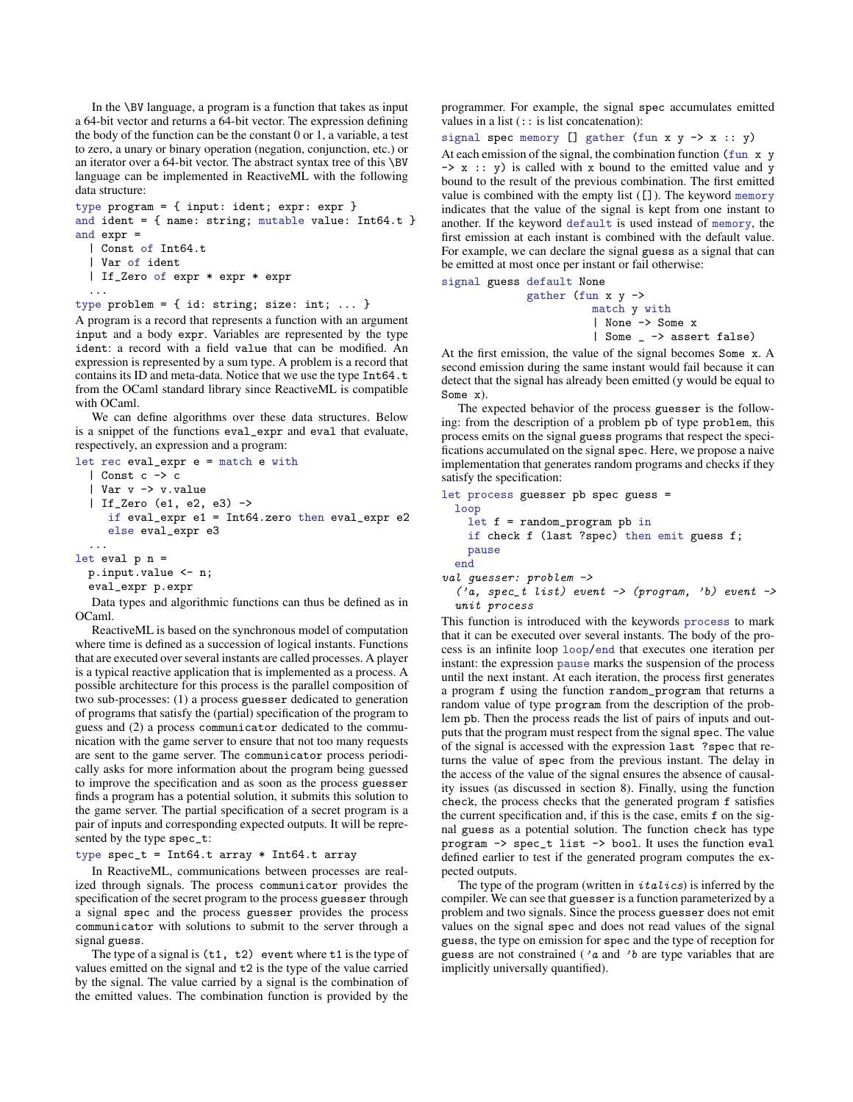In the \BV language, a program is a function that takes as input a 64-bit vector and returns a 64-bit vector. The expression defining the body of the function can be the constant 0 or 1, a variable, a test to zero, a unary or binary operation (negation, conjunction, etc.) or an iterator over a 64-bit vector. The abstract syntax tree of this \BV language can be implemented in ReactiveML with the following data structure:

```
type program = { input: ident; expr: expr }
and ident = { name: string; mutable value: Int64.t }
and expr =
  | Const of Int64.t
  | Var of ident
  | If_Zero of expr * expr * expr
  ...
```

```
type problem = { id: string; size: int; ... }
```
A program is a record that represents a function with an argument input and a body expr. Variables are represented by the type ident: a record with a field value that can be modified. An expression is represented by a sum type. A problem is a record that contains its ID and meta-data. Notice that we use the type Int64.t from the OCaml standard library since ReactiveML is compatible with OCaml.

We can define algorithms over these data structures. Below is a snippet of the functions eval\_expr and eval that evaluate, respectively, an expression and a program:

```
let rec eval_expr e = match e with
  | Const c \rightarrow c| Var v -> v.value
  | If_Zero (e1, e2, e3) ->
     if eval_expr e1 = Int64.zero then eval_expr e2
     else eval_expr e3
  ...
let eval p n =
```
p.input.value <- n;

eval\_expr p.expr

Data types and algorithmic functions can thus be defined as in OCaml.

ReactiveML is based on the synchronous model of computation where time is defined as a succession of logical instants. Functions that are executed over several instants are called processes. A player is a typical reactive application that is implemented as a process. A possible architecture for this process is the parallel composition of two sub-processes: (1) a process guesser dedicated to generation of programs that satisfy the (partial) specification of the program to guess and (2) a process communicator dedicated to the communication with the game server to ensure that not too many requests are sent to the game server. The communicator process periodically asks for more information about the program being guessed to improve the specification and as soon as the process guesser finds a program has a potential solution, it submits this solution to the game server. The partial specification of a secret program is a pair of inputs and corresponding expected outputs. It will be represented by the type spec\_t:

#### type  $spec_t = Int64.t$  array \* Int64.t array

In ReactiveML, communications between processes are realized through signals. The process communicator provides the specification of the secret program to the process guesser through a signal spec and the process guesser provides the process communicator with solutions to submit to the server through a signal guess.

The type of a signal is  $(t1, t2)$  event where  $t1$  is the type of values emitted on the signal and t2 is the type of the value carried by the signal. The value carried by a signal is the combination of the emitted values. The combination function is provided by the programmer. For example, the signal spec accumulates emitted values in a list (:: is list concatenation):

signal spec memory [] gather (fun x y -> x :: y)

At each emission of the signal, the combination function  $(fun x y)$  $\Rightarrow$  x :: y) is called with x bound to the emitted value and y bound to the result of the previous combination. The first emitted value is combined with the empty list ([]). The keyword memory indicates that the value of the signal is kept from one instant to another. If the keyword default is used instead of memory, the first emission at each instant is combined with the default value. For example, we can declare the signal guess as a signal that can be emitted at most once per instant or fail otherwise:

signal guess default None

gather (fun  $x$   $y \rightarrow$ match y with | None -> Some x | Some \_ -> assert false)

At the first emission, the value of the signal becomes Some x. A second emission during the same instant would fail because it can detect that the signal has already been emitted (y would be equal to Some x).

The expected behavior of the process guesser is the following: from the description of a problem pb of type problem, this process emits on the signal guess programs that respect the specifications accumulated on the signal spec. Here, we propose a naive implementation that generates random programs and checks if they satisfy the specification:

```
let process guesser pb spec guess =
  loop
    let f = random\_program pb inif check f (last ?spec) then emit guess f;
    pause
  end
val guesser: problem ->
  ('a, spec_t list) event \rightarrow (program, 'b) event \rightarrowunit process
```
This function is introduced with the keywords process to mark that it can be executed over several instants. The body of the process is an infinite loop loop/end that executes one iteration per instant: the expression pause marks the suspension of the process until the next instant. At each iteration, the process first generates a program f using the function random\_program that returns a random value of type program from the description of the problem pb. Then the process reads the list of pairs of inputs and outputs that the program must respect from the signal spec. The value of the signal is accessed with the expression last ?spec that returns the value of spec from the previous instant. The delay in the access of the value of the signal ensures the absence of causality issues (as discussed in section [8\)](#page-8-1). Finally, using the function check, the process checks that the generated program f satisfies the current specification and, if this is the case, emits f on the signal guess as a potential solution. The function check has type program -> spec\_t list -> bool. It uses the function eval defined earlier to test if the generated program computes the expected outputs.

The type of the program (written in  $italics$ ) is inferred by the compiler. We can see that guesser is a function parameterized by a problem and two signals. Since the process guesser does not emit values on the signal spec and does not read values of the signal guess, the type on emission for spec and the type of reception for guess are not constrained ('a and 'b are type variables that are implicitly universally quantified).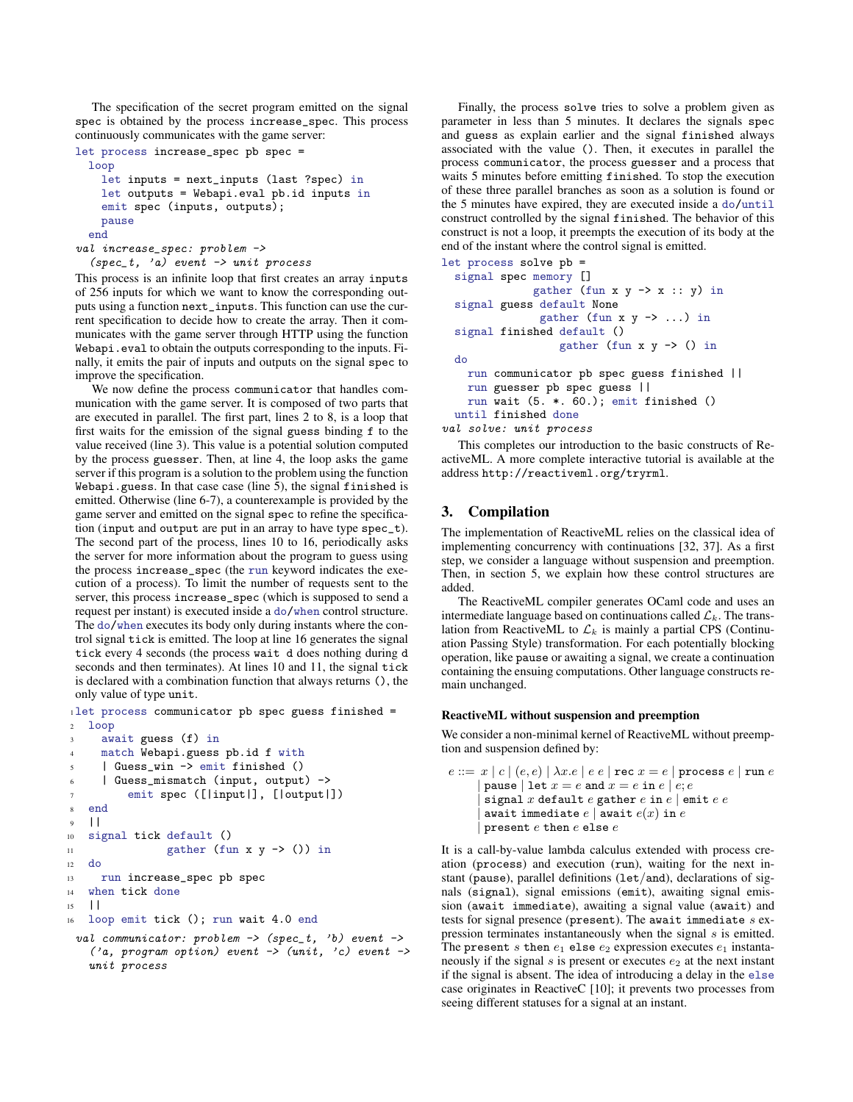The specification of the secret program emitted on the signal spec is obtained by the process increase\_spec. This process continuously communicates with the game server:

```
let process increase_spec pb spec =
 loop
    let inputs = next_inputs (last ?spec) in
    let outputs = Webapi.eval pb.id inputs in
    emit spec (inputs, outputs);
   pause
  end
val increase_spec: problem ->
```
 $(spec_t, 'a)$  event  $\rightarrow$  unit process

This process is an infinite loop that first creates an array inputs of 256 inputs for which we want to know the corresponding outputs using a function next\_inputs. This function can use the current specification to decide how to create the array. Then it communicates with the game server through HTTP using the function Webapi.eval to obtain the outputs corresponding to the inputs. Finally, it emits the pair of inputs and outputs on the signal spec to improve the specification.

We now define the process communicator that handles communication with the game server. It is composed of two parts that are executed in parallel. The first part, lines 2 to 8, is a loop that first waits for the emission of the signal guess binding f to the value received (line 3). This value is a potential solution computed by the process guesser. Then, at line 4, the loop asks the game server if this program is a solution to the problem using the function Webapi.guess. In that case case (line 5), the signal finished is emitted. Otherwise (line 6-7), a counterexample is provided by the game server and emitted on the signal spec to refine the specification (input and output are put in an array to have type spec\_t). The second part of the process, lines 10 to 16, periodically asks the server for more information about the program to guess using the process increase\_spec (the run keyword indicates the execution of a process). To limit the number of requests sent to the server, this process increase\_spec (which is supposed to send a request per instant) is executed inside a do/when control structure. The do/when executes its body only during instants where the control signal tick is emitted. The loop at line 16 generates the signal tick every 4 seconds (the process wait d does nothing during d seconds and then terminates). At lines 10 and 11, the signal tick is declared with a combination function that always returns (), the only value of type unit.

<sup>1</sup>let process communicator pb spec guess finished =  $2 \cdot 1$ oop

```
await guess (f) in
     match Webapi.guess pb.id f with
     5 | Guess_win -> emit finished ()
      | Guess_mismatch (input, output) ->
          emit spec ([|input|], [|output|])
8 end
9 ||
10 signal tick default ()
11 gather (fun x y \rightarrow ()) in
12 do
13 run increase_spec pb spec
14 when tick done
15 \quad | \quad |16 loop emit tick (); run wait 4.0 end
 val communicator: problem \rightarrow (spec_t, 'b) event \rightarrow
```
 $('a, program option) event \rightarrow (unit, 'c) event \rightarrow$ unit process

Finally, the process solve tries to solve a problem given as parameter in less than 5 minutes. It declares the signals spec and guess as explain earlier and the signal finished always associated with the value (). Then, it executes in parallel the process communicator, the process guesser and a process that waits 5 minutes before emitting finished. To stop the execution of these three parallel branches as soon as a solution is found or the 5 minutes have expired, they are executed inside a do/until construct controlled by the signal finished. The behavior of this construct is not a loop, it preempts the execution of its body at the end of the instant where the control signal is emitted.

```
let process solve pb =
  signal spec memory []
               gather (fun x y \rightarrow x :: y) in
  signal guess default None
                gather (fun x y \rightarrow \ldots) in
  signal finished default ()
                    gather (fun x y \rightarrow () in
  do
    run communicator pb spec guess finished ||
    run guesser pb spec guess ||
    run wait (5. *. 60.); emit finished ()
  until finished done
```

```
val solve: unit process
```
This completes our introduction to the basic constructs of ReactiveML. A more complete interactive tutorial is available at the address <http://reactiveml.org/tryrml>.

# <span id="page-2-0"></span>3. Compilation

The implementation of ReactiveML relies on the classical idea of implementing concurrency with continuations [\[32,](#page-11-5) [37\]](#page-11-6). As a first step, we consider a language without suspension and preemption. Then, in section [5,](#page-6-0) we explain how these control structures are added.

The ReactiveML compiler generates OCaml code and uses an intermediate language based on continuations called  $\mathcal{L}_k$ . The translation from ReactiveML to  $\mathcal{L}_k$  is mainly a partial CPS (Continuation Passing Style) transformation. For each potentially blocking operation, like pause or awaiting a signal, we create a continuation containing the ensuing computations. Other language constructs remain unchanged.

# ReactiveML without suspension and preemption

We consider a non-minimal kernel of ReactiveML without preemption and suspension defined by:

```
e ::= x | c | (e, e) | \lambda x. e | e e | \text{rec } x = e | \text{process } e | \text{run } epause | let x = e and x = e in e | e; esignal x default e gather e in e \mid emit e eawait immediate e \mid await e(x) in epresent e then e else e
```
It is a call-by-value lambda calculus extended with process creation (process) and execution (run), waiting for the next instant (pause), parallel definitions ( $let/and$ ), declarations of signals (signal), signal emissions (emit), awaiting signal emission (await immediate), awaiting a signal value (await) and tests for signal presence (present). The await immediate  $s$  expression terminates instantaneously when the signal  $s$  is emitted. The present s then  $e_1$  else  $e_2$  expression executes  $e_1$  instantaneously if the signal  $s$  is present or executes  $e_2$  at the next instant if the signal is absent. The idea of introducing a delay in the else case originates in ReactiveC [\[10\]](#page-11-2); it prevents two processes from seeing different statuses for a signal at an instant.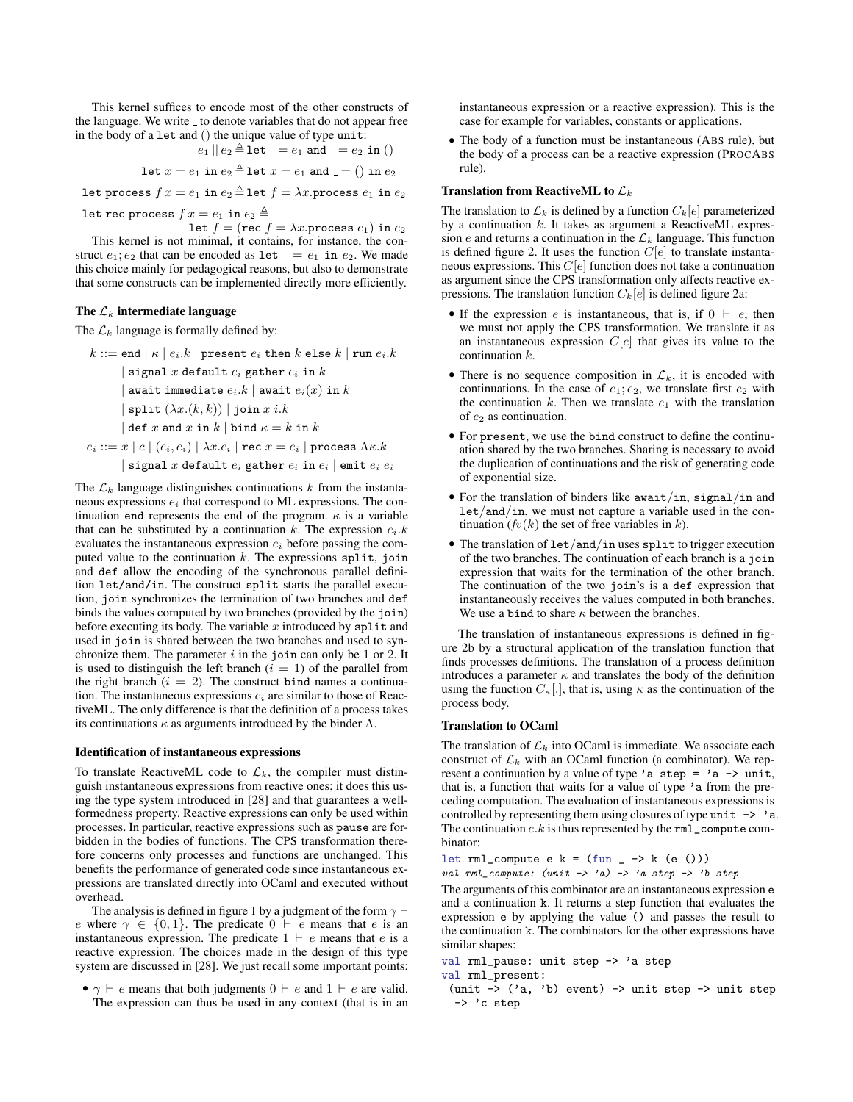This kernel suffices to encode most of the other constructs of the language. We write to denote variables that do not appear free in the body of a let and () the unique value of type unit:

$$
e_1 \parallel e_2 \triangleq \text{let } z = e_1 \text{ and } z = e_2 \text{ in } ()
$$

let  $x = e_1$  in  $e_2 \triangleq$  let  $x = e_1$  and  $z = ()$  in  $e_2$ 

let process  $f x = e_1$  in  $e_2 \triangleq$  let  $f = \lambda x$ .process  $e_1$  in  $e_2$ 

let rec process  $f\,x = e_1$  in  $e_2 \triangleq$ 

let  $f = (rec f = \lambda x$ .process  $e_1)$  in  $e_2$ This kernel is not minimal, it contains, for instance, the construct  $e_1$ ;  $e_2$  that can be encoded as let  $e = e_1$  in  $e_2$ . We made this choice mainly for pedagogical reasons, but also to demonstrate that some constructs can be implemented directly more efficiently.

#### The  $\mathcal{L}_k$  intermediate language

The  $\mathcal{L}_k$  language is formally defined by:

$$
k ::= \text{end} \mid \kappa \mid e_i.k \mid \text{present } e_i \text{ then } k \text{ else } k \mid \text{run } e_i.k
$$
\n
$$
\mid \text{signal } x \text{ default } e_i \text{ gather } e_i \text{ in } k
$$
\n
$$
\mid \text{await immediate } e_i.k \mid \text{await } e_i(x) \text{ in } k
$$
\n
$$
\mid \text{split } (\lambda x.(k, k)) \mid \text{join } x \text{ i}.k
$$
\n
$$
\mid \text{def } x \text{ and } x \text{ in } k \mid \text{bind } \kappa = k \text{ in } k
$$
\n
$$
e_i ::= x \mid c \mid (e_i, e_i) \mid \lambda x.e_i \mid \text{rec } x = e_i \mid \text{process } \Lambda \kappa.k
$$
\n
$$
\mid \text{signal } x \text{ default } e_i \text{ gather } e_i \text{ in } e_i \mid \text{emit } e_i \text{ } e_i
$$

The  $\mathcal{L}_k$  language distinguishes continuations k from the instantaneous expressions  $e_i$  that correspond to ML expressions. The continuation end represents the end of the program.  $\kappa$  is a variable that can be substituted by a continuation k. The expression  $e_i.k$ evaluates the instantaneous expression  $e_i$  before passing the computed value to the continuation  $k$ . The expressions split, join and def allow the encoding of the synchronous parallel definition let/and/in. The construct split starts the parallel execution, join synchronizes the termination of two branches and def binds the values computed by two branches (provided by the join) before executing its body. The variable  $x$  introduced by split and used in join is shared between the two branches and used to synchronize them. The parameter  $i$  in the join can only be 1 or 2. It is used to distinguish the left branch  $(i = 1)$  of the parallel from the right branch  $(i = 2)$ . The construct bind names a continuation. The instantaneous expressions  $e_i$  are similar to those of ReactiveML. The only difference is that the definition of a process takes its continuations  $\kappa$  as arguments introduced by the binder  $\Lambda$ .

#### Identification of instantaneous expressions

To translate ReactiveML code to  $\mathcal{L}_k$ , the compiler must distinguish instantaneous expressions from reactive ones; it does this using the type system introduced in [\[28\]](#page-11-4) and that guarantees a wellformedness property. Reactive expressions can only be used within processes. In particular, reactive expressions such as pause are forbidden in the bodies of functions. The CPS transformation therefore concerns only processes and functions are unchanged. This benefits the performance of generated code since instantaneous expressions are translated directly into OCaml and executed without overhead.

The analysis is defined in figure [1](#page-4-1) by a judgment of the form  $\gamma \vdash$ e where  $\gamma \in \{0, 1\}$ . The predicate  $0 \vdash e$  means that e is an instantaneous expression. The predicate  $1 \vdash e$  means that e is a reactive expression. The choices made in the design of this type system are discussed in [\[28\]](#page-11-4). We just recall some important points:

•  $\gamma \vdash e$  means that both judgments  $0 \vdash e$  and  $1 \vdash e$  are valid. The expression can thus be used in any context (that is in an instantaneous expression or a reactive expression). This is the case for example for variables, constants or applications.

• The body of a function must be instantaneous (ABS rule), but the body of a process can be a reactive expression (PROCABS rule).

#### Translation from ReactiveML to  $\mathcal{L}_k$

The translation to  $\mathcal{L}_k$  is defined by a function  $C_k[e]$  parameterized by a continuation  $k$ . It takes as argument a ReactiveML expression e and returns a continuation in the  $\mathcal{L}_k$  language. This function is defined figure [2.](#page-4-2) It uses the function  $C[e]$  to translate instantaneous expressions. This  $C[e]$  function does not take a continuation as argument since the CPS transformation only affects reactive expressions. The translation function  $C_k[e]$  is defined figure [2a:](#page-4-2)

- If the expression e is instantaneous, that is, if  $0 \vdash e$ , then we must not apply the CPS transformation. We translate it as an instantaneous expression  $C[e]$  that gives its value to the continuation  $k$ .
- There is no sequence composition in  $\mathcal{L}_k$ , it is encoded with continuations. In the case of  $e_1$ ;  $e_2$ , we translate first  $e_2$  with the continuation  $k$ . Then we translate  $e_1$  with the translation of  $e_2$  as continuation.
- For present, we use the bind construct to define the continuation shared by the two branches. Sharing is necessary to avoid the duplication of continuations and the risk of generating code of exponential size.
- For the translation of binders like await/in, signal/in and let/and/in, we must not capture a variable used in the continuation ( $fv(k)$ ) the set of free variables in k).
- The translation of  $let/and/in$  uses split to trigger execution of the two branches. The continuation of each branch is a join expression that waits for the termination of the other branch. The continuation of the two join's is a def expression that instantaneously receives the values computed in both branches. We use a bind to share  $\kappa$  between the branches.

The translation of instantaneous expressions is defined in figure [2b](#page-4-2) by a structural application of the translation function that finds processes definitions. The translation of a process definition introduces a parameter  $\kappa$  and translates the body of the definition using the function  $C_{\kappa}$ [.], that is, using  $\kappa$  as the continuation of the process body.

#### Translation to OCaml

The translation of  $\mathcal{L}_k$  into OCaml is immediate. We associate each construct of  $\mathcal{L}_k$  with an OCaml function (a combinator). We represent a continuation by a value of type 'a step = 'a -> unit, that is, a function that waits for a value of type 'a from the preceding computation. The evaluation of instantaneous expressions is controlled by representing them using closures of type unit  $\rightarrow$  'a. The continuation  $e.k$  is thus represented by the  $rml\_compute$  combinator:

let  $rm\_compute$  e k =  $(fun - > k$  (e ()))

val  $rm\_compute$ :  $(unit \rightarrow 'a) \rightarrow 'a$  step  $\rightarrow 'b$  step

The arguments of this combinator are an instantaneous expression e and a continuation k. It returns a step function that evaluates the expression e by applying the value () and passes the result to the continuation k. The combinators for the other expressions have similar shapes:

val rml\_pause: unit step -> 'a step

val rml\_present:

(unit  $\rightarrow$  ('a, 'b) event)  $\rightarrow$  unit step  $\rightarrow$  unit step -> 'c step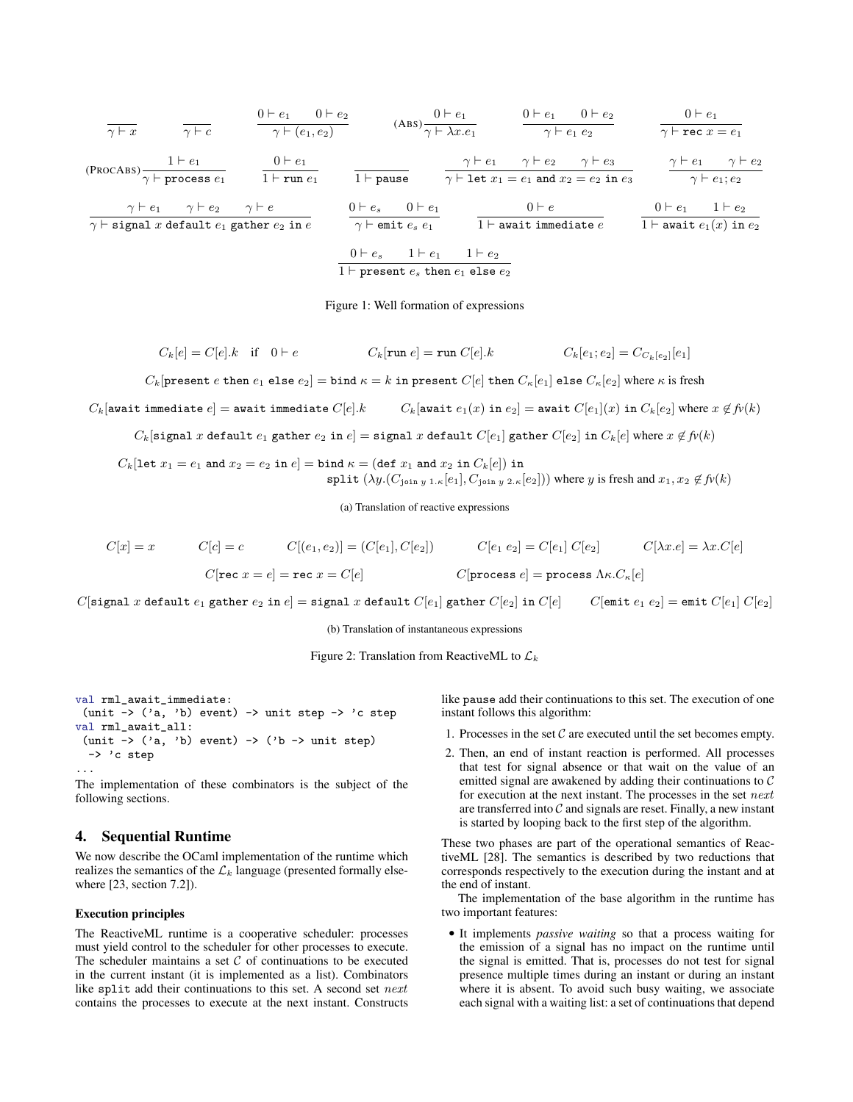<span id="page-4-1"></span>
$$
\frac{1+e_1}{\gamma+e_2} \qquad \frac{0+e_1}{\gamma+e_1e_2} \qquad \frac{0+e_2}{\gamma+e_1e_2} \qquad \frac{0+e_1}{\gamma+e_1e_2} \qquad \frac{0+e_1}{\gamma+e_1e_2} \qquad \frac{0+e_1}{\gamma+e_1e_2} \qquad \frac{0+e_1}{\gamma+e_1e_2} \qquad \frac{0+e_1}{\gamma+e_1e_2} \qquad \frac{0+e_1}{\gamma+e_1e_2} \qquad \frac{0+e_1}{\gamma+e_1e_2} \qquad \frac{0+e_1}{\gamma+e_1e_2} \qquad \frac{0+e_1}{\gamma+e_1e_2} \qquad \frac{0+e_1}{\gamma+e_1e_2} \qquad \frac{0+e_1}{\gamma+e_1e_2} \qquad \frac{0+e_1}{\gamma+e_1e_2} \qquad \frac{0+e_1}{\gamma+e_1e_2} \qquad \frac{0+e_1}{\gamma+e_1e_2} \qquad \frac{0+e_1}{\gamma+e_1e_2} \qquad \frac{0+e_1}{\gamma+e_1e_2} \qquad \frac{0+e_1}{\gamma+e_1e_2} \qquad \frac{0+e_1}{\gamma+e_1e_2} \qquad \frac{0+e_1}{\gamma+e_1e_2} \qquad \frac{0+e_1}{\gamma+e_1e_2} \qquad \frac{0+e_1}{\gamma+e_1e_2} \qquad \frac{0+e_1}{\gamma+e_1e_2} \qquad \frac{0+e_1}{\gamma+e_1e_2} \qquad \frac{0+e_1}{\gamma+e_1e_2} \qquad \frac{0+e_1}{\gamma+e_1e_2} \qquad \frac{0+e_1}{\gamma+e_1e_2} \qquad \frac{0+e_1}{\gamma+e_1e_2} \qquad \frac{0+e_1}{\gamma+e_1e_2} \qquad \frac{0+e_1}{\gamma+e_1e_2} \qquad \frac{0+e_1}{\gamma+e_1e_2} \qquad \frac{0+e_1}{\gamma+e_1e_2} \qquad \frac{0+e_1}{\gamma+e_1
$$

 $1 \vdash$  present  $e_s$  then  $e_1$  else  $e_2$ 

Figure 1: Well formation of expressions

 $C_k[e] = C[e].k$  if  $0 \vdash e$   $C_k[\text{run } e] = \text{run } C[e].k$  $C_k[e_1; e_2] = C_{C_k[e_2]}[e_1]$ 

<span id="page-4-2"></span> $C_k[\text{present } e \text{ then } e_1 \text{ else } e_2] = \text{bind } \kappa = k \text{ in present } C[e] \text{ then } C_k[e_1] \text{ else } C_k[e_2]$  where  $\kappa$  is fresh

 $C_k$ [await immediate  $e] =$  await immediate  $C[e]k$   $C_k$ [await  $e_1(x)$  in  $e_2$ ] = await  $C[e_1](x)$  in  $C_k[e_2]$  where  $x \notin f\nu(k)$ 

 $C_k$ [signal x default  $e_1$  gather  $e_2$  in  $e] =$  signal x default  $C[e_1]$  gather  $C[e_2]$  in  $C_k[e]$  where  $x \notin f\nu(k)$ 

 $C_k$ [let  $x_1 = e_1$  and  $x_2 = e_2$  in  $e$ ] = bind  $\kappa =$  (def  $x_1$  and  $x_2$  in  $C_k[e]$ ) in split  $(\lambda y. (C_{\text{join } y 1.\kappa}[e_1], C_{\text{join } y 2.\kappa}[e_2]))$  where y is fresh and  $x_1, x_2 \notin fv(k)$ 

(a) Translation of reactive expressions

$$
C[x] = x \qquad C[c] = c \qquad C[(e_1, e_2)] = (C[e_1], C[e_2]) \qquad C[e_1 \ e_2] = C[e_1] \ C[e_2] \qquad C[\lambda x . e] = \lambda x . C[e]
$$

$$
C[\text{rec } x = e] = \text{rec } x = C[e] \qquad C[\text{process } e] = \text{process } \Lambda \kappa . C_{\kappa}[e]
$$

 $C[\texttt{signal}~x~\texttt{default}~e_1~\texttt{gather}~e_2~\texttt{in}~e] = \texttt{signal}~x~\texttt{default}~C[e_1]~\texttt{gather}~C[e_2]~\texttt{in}~C[e] \qquad C[\texttt{emit}~e_1~e_2] = \texttt{emit}~C[e_1]~C[e_2]$ 

(b) Translation of instantaneous expressions

Figure 2: Translation from ReactiveML to  $\mathcal{L}_k$ 

```
val rml_await_immediate:
 (unit \rightarrow ('a, 'b) event) \rightarrow unit step \rightarrow 'c step
val rml_await_all:
 (unit \rightarrow ('a, 'b) event) \rightarrow ('b \rightarrow unit step)
  -> 'c step
...
```
The implementation of these combinators is the subject of the following sections.

# <span id="page-4-0"></span>4. Sequential Runtime

We now describe the OCaml implementation of the runtime which realizes the semantics of the  $\mathcal{L}_k$  language (presented formally elsewhere [\[23,](#page-11-7) section 7.2]).

#### Execution principles

The ReactiveML runtime is a cooperative scheduler: processes must yield control to the scheduler for other processes to execute. The scheduler maintains a set  $C$  of continuations to be executed in the current instant (it is implemented as a list). Combinators like split add their continuations to this set. A second set next contains the processes to execute at the next instant. Constructs like pause add their continuations to this set. The execution of one instant follows this algorithm:

- 1. Processes in the set  $C$  are executed until the set becomes empty.
- 2. Then, an end of instant reaction is performed. All processes that test for signal absence or that wait on the value of an emitted signal are awakened by adding their continuations to C for execution at the next instant. The processes in the set next are transferred into  $\mathcal C$  and signals are reset. Finally, a new instant is started by looping back to the first step of the algorithm.

These two phases are part of the operational semantics of ReactiveML [\[28\]](#page-11-4). The semantics is described by two reductions that corresponds respectively to the execution during the instant and at the end of instant.

The implementation of the base algorithm in the runtime has two important features:

• It implements *passive waiting* so that a process waiting for the emission of a signal has no impact on the runtime until the signal is emitted. That is, processes do not test for signal presence multiple times during an instant or during an instant where it is absent. To avoid such busy waiting, we associate each signal with a waiting list: a set of continuations that depend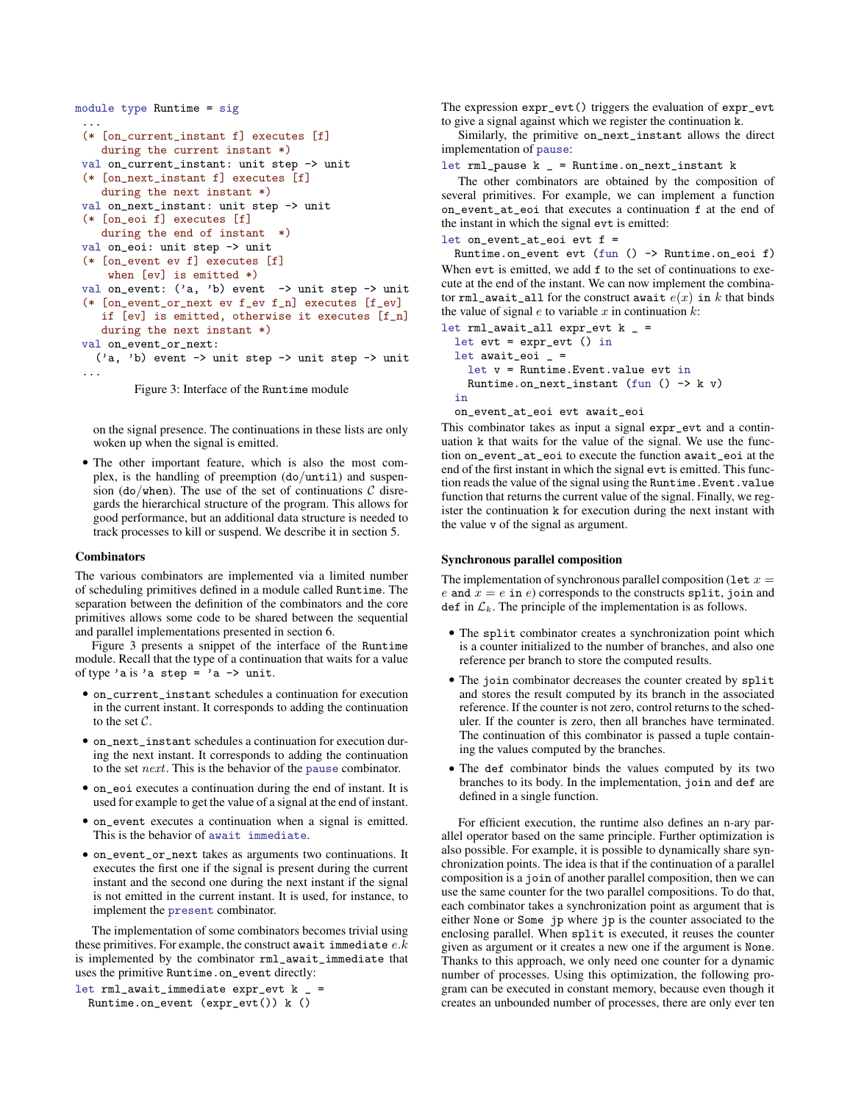```
module type Runtime = sig
 ...
 (* [on_current_instant f] executes [f]
   during the current instant *)
val on_current_instant: unit step -> unit
 (* [on_next_instant f] executes [f]
    during the next instant *)
 val on_next_instant: unit step -> unit
 (* [on_eoi f] executes [f]
    during the end of instant *)val on_eoi: unit step -> unit
 (* [on_event ev f] executes [f]
     when [ev] is emitted *)
val on_event: ('a, 'b) event -> unit step -> unit
 (* [on_event_or_next ev f_ev f_n] executes [f_ev]
    if [ev] is emitted, otherwise it executes [f_n]
    during the next instant *)
 val on_event_or_next:
   ('a, 'b) event -> unit step -> unit step -> unit
 ...
```
Figure 3: Interface of the Runtime module

on the signal presence. The continuations in these lists are only woken up when the signal is emitted.

• The other important feature, which is also the most complex, is the handling of preemption (do/until) and suspension (do/when). The use of the set of continuations  $C$  disregards the hierarchical structure of the program. This allows for good performance, but an additional data structure is needed to track processes to kill or suspend. We describe it in section [5.](#page-6-0)

#### Combinators

The various combinators are implemented via a limited number of scheduling primitives defined in a module called Runtime. The separation between the definition of the combinators and the core primitives allows some code to be shared between the sequential and parallel implementations presented in section [6.](#page-7-0)

Figure [3](#page-5-0) presents a snippet of the interface of the Runtime module. Recall that the type of a continuation that waits for a value of type 'a is 'a step = 'a  $\rightarrow$  unit.

- on\_current\_instant schedules a continuation for execution in the current instant. It corresponds to adding the continuation to the set  $\mathcal{C}$ .
- on\_next\_instant schedules a continuation for execution during the next instant. It corresponds to adding the continuation to the set next. This is the behavior of the pause combinator.
- on\_eoi executes a continuation during the end of instant. It is used for example to get the value of a signal at the end of instant.
- on\_event executes a continuation when a signal is emitted. This is the behavior of await immediate.
- on\_event\_or\_next takes as arguments two continuations. It executes the first one if the signal is present during the current instant and the second one during the next instant if the signal is not emitted in the current instant. It is used, for instance, to implement the present combinator.

The implementation of some combinators becomes trivial using these primitives. For example, the construct await immediate  $e.k$ is implemented by the combinator rml\_await\_immediate that uses the primitive Runtime.on\_event directly:

let  $rm_l$ await\_immediate expr\_evt k \_ = Runtime.on\_event (expr\_evt()) k ()

The expression expr\_evt() triggers the evaluation of expr\_evt to give a signal against which we register the continuation k.

Similarly, the primitive on\_next\_instant allows the direct implementation of pause:

let  $rm_{2}$ pause k  $=$   $\text{Runtime} \cdot \text{on}_{2}$  next\_instant k

The other combinators are obtained by the composition of several primitives. For example, we can implement a function on\_event\_at\_eoi that executes a continuation f at the end of the instant in which the signal evt is emitted:

let on\_event\_at\_eoi evt  $f =$ 

Runtime.on\_event evt (fun ()  $\rightarrow$  Runtime.on\_eoi f) When evt is emitted, we add f to the set of continuations to execute at the end of the instant. We can now implement the combinator rml\_await\_all for the construct await  $e(x)$  in k that binds the value of signal  $e$  to variable  $x$  in continuation  $k$ :

```
let rm_auxial expr_evt k _ =
  let evt = expr\_evt () in
  let await_eoi =let v = Runtime.Event.value evt in
    Runtime.on_next_instant (fun () \rightarrow k v)
  in
```
on\_event\_at\_eoi evt await\_eoi

This combinator takes as input a signal expr\_evt and a continuation k that waits for the value of the signal. We use the function on\_event\_at\_eoi to execute the function await\_eoi at the end of the first instant in which the signal evt is emitted. This function reads the value of the signal using the Runtime.Event.value function that returns the current value of the signal. Finally, we register the continuation k for execution during the next instant with the value v of the signal as argument.

#### Synchronous parallel composition

The implementation of synchronous parallel composition (1et  $x =$ e and  $x = e$  in e) corresponds to the constructs split, join and def in  $\mathcal{L}_k$ . The principle of the implementation is as follows.

- The split combinator creates a synchronization point which is a counter initialized to the number of branches, and also one reference per branch to store the computed results.
- The join combinator decreases the counter created by split and stores the result computed by its branch in the associated reference. If the counter is not zero, control returns to the scheduler. If the counter is zero, then all branches have terminated. The continuation of this combinator is passed a tuple containing the values computed by the branches.
- The def combinator binds the values computed by its two branches to its body. In the implementation, join and def are defined in a single function.

For efficient execution, the runtime also defines an n-ary parallel operator based on the same principle. Further optimization is also possible. For example, it is possible to dynamically share synchronization points. The idea is that if the continuation of a parallel composition is a join of another parallel composition, then we can use the same counter for the two parallel compositions. To do that, each combinator takes a synchronization point as argument that is either None or Some jp where jp is the counter associated to the enclosing parallel. When split is executed, it reuses the counter given as argument or it creates a new one if the argument is None. Thanks to this approach, we only need one counter for a dynamic number of processes. Using this optimization, the following program can be executed in constant memory, because even though it creates an unbounded number of processes, there are only ever ten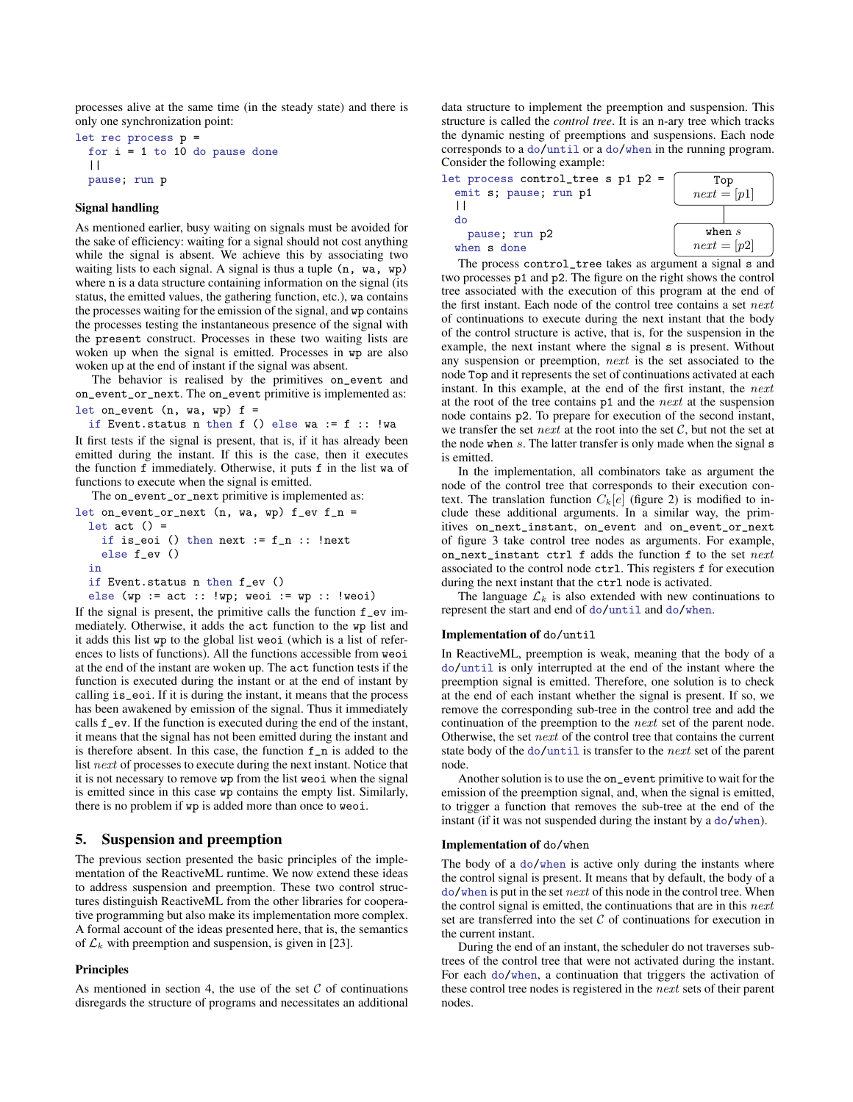processes alive at the same time (in the steady state) and there is only one synchronization point:

```
let rec process p =
  for i = 1 to 10 do pause done
  | \cdot |pause; run p
```
## <span id="page-6-1"></span>Signal handling

As mentioned earlier, busy waiting on signals must be avoided for the sake of efficiency: waiting for a signal should not cost anything while the signal is absent. We achieve this by associating two waiting lists to each signal. A signal is thus a tuple (n, wa, wp) where n is a data structure containing information on the signal (its status, the emitted values, the gathering function, etc.), wa contains the processes waiting for the emission of the signal, and wp contains the processes testing the instantaneous presence of the signal with the present construct. Processes in these two waiting lists are woken up when the signal is emitted. Processes in wp are also woken up at the end of instant if the signal was absent.

The behavior is realised by the primitives on\_event and on\_event\_or\_next. The on\_event primitive is implemented as: let on\_event  $(n, wa, wp)$  f =

if Event.status n then f () else wa := f :: !wa

It first tests if the signal is present, that is, if it has already been emitted during the instant. If this is the case, then it executes the function f immediately. Otherwise, it puts f in the list wa of functions to execute when the signal is emitted.

The on\_event\_or\_next primitive is implemented as:

```
let on_event_or_next (n, wa, wp) f_ev f_n =
  let act () =if is_eoi () then next := f_n :: !nextelse f_ev ()
  in
  if Event.status n then f_ev ()
  else (wp := act :: !wp; weoi := wp :: !weoi)
If the signal is present, the primitive calls the function f<sub>-</sub>ev im-
```
mediately. Otherwise, it adds the act function to the wp list and it adds this list wp to the global list weoi (which is a list of references to lists of functions). All the functions accessible from weoi at the end of the instant are woken up. The act function tests if the function is executed during the instant or at the end of instant by calling is\_eoi. If it is during the instant, it means that the process has been awakened by emission of the signal. Thus it immediately calls f\_ev. If the function is executed during the end of the instant, it means that the signal has not been emitted during the instant and is therefore absent. In this case, the function f\_n is added to the list next of processes to execute during the next instant. Notice that it is not necessary to remove wp from the list weoi when the signal is emitted since in this case wp contains the empty list. Similarly, there is no problem if wp is added more than once to weoi.

# <span id="page-6-0"></span>5. Suspension and preemption

The previous section presented the basic principles of the implementation of the ReactiveML runtime. We now extend these ideas to address suspension and preemption. These two control structures distinguish ReactiveML from the other libraries for cooperative programming but also make its implementation more complex. A formal account of the ideas presented here, that is, the semantics of  $\mathcal{L}_k$  with preemption and suspension, is given in [\[23\]](#page-11-7).

#### Principles

As mentioned in section [4,](#page-4-0) the use of the set  $C$  of continuations disregards the structure of programs and necessitates an additional data structure to implement the preemption and suspension. This structure is called the *control tree*. It is an n-ary tree which tracks the dynamic nesting of preemptions and suspensions. Each node corresponds to a do/until or a do/when in the running program. Consider the following example:

| let process control_tree s $p1 p2 =$ | Top           |  |
|--------------------------------------|---------------|--|
| emit s; pause; run p1                | $next = [p1]$ |  |
| do                                   |               |  |
| pause; run p2                        | when $s$      |  |
| when s done                          | $next = [p2]$ |  |

The process control\_tree takes as argument a signal s and two processes p1 and p2. The figure on the right shows the control tree associated with the execution of this program at the end of the first instant. Each node of the control tree contains a set next of continuations to execute during the next instant that the body of the control structure is active, that is, for the suspension in the example, the next instant where the signal s is present. Without any suspension or preemption, next is the set associated to the node Top and it represents the set of continuations activated at each instant. In this example, at the end of the first instant, the next at the root of the tree contains p1 and the next at the suspension node contains p2. To prepare for execution of the second instant, we transfer the set *next* at the root into the set  $\mathcal{C}$ , but not the set at the node when  $s$ . The latter transfer is only made when the signal  $s$ is emitted.

In the implementation, all combinators take as argument the node of the control tree that corresponds to their execution context. The translation function  $C_k[e]$  (figure [2\)](#page-4-2) is modified to include these additional arguments. In a similar way, the primitives on\_next\_instant, on\_event and on\_event\_or\_next of figure [3](#page-5-0) take control tree nodes as arguments. For example, on\_next\_instant ctrl f adds the function f to the set next associated to the control node ctrl. This registers f for execution during the next instant that the ctrl node is activated.

The language  $\mathcal{L}_k$  is also extended with new continuations to represent the start and end of do/until and do/when.

#### Implementation of do/until

In ReactiveML, preemption is weak, meaning that the body of a do/until is only interrupted at the end of the instant where the preemption signal is emitted. Therefore, one solution is to check at the end of each instant whether the signal is present. If so, we remove the corresponding sub-tree in the control tree and add the continuation of the preemption to the next set of the parent node. Otherwise, the set next of the control tree that contains the current state body of the do/until is transfer to the next set of the parent node.

Another solution is to use the on\_event primitive to wait for the emission of the preemption signal, and, when the signal is emitted, to trigger a function that removes the sub-tree at the end of the instant (if it was not suspended during the instant by a do/when).

#### Implementation of do/when

The body of a do/when is active only during the instants where the control signal is present. It means that by default, the body of a do/when is put in the set next of this node in the control tree. When the control signal is emitted, the continuations that are in this next set are transferred into the set  $C$  of continuations for execution in the current instant.

During the end of an instant, the scheduler do not traverses subtrees of the control tree that were not activated during the instant. For each do/when, a continuation that triggers the activation of these control tree nodes is registered in the next sets of their parent nodes.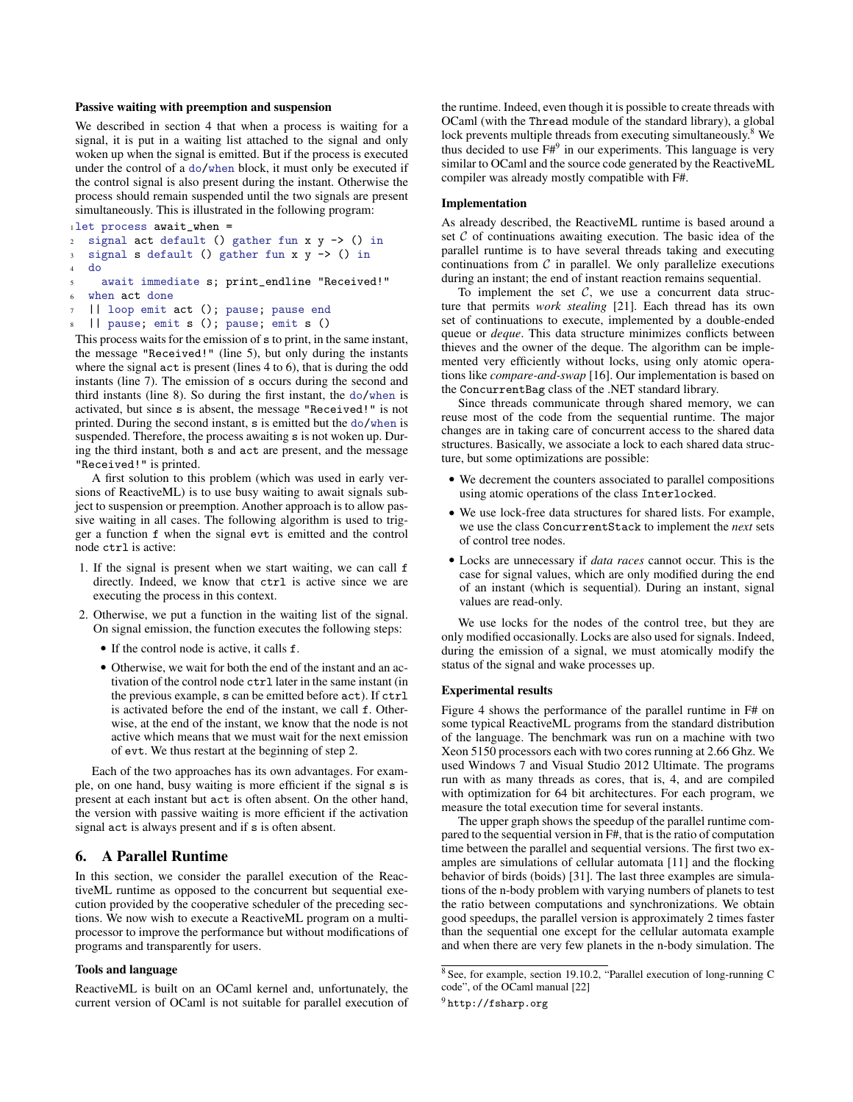# Passive waiting with preemption and suspension

We described in section [4](#page-6-1) that when a process is waiting for a signal, it is put in a waiting list attached to the signal and only woken up when the signal is emitted. But if the process is executed under the control of a do/when block, it must only be executed if the control signal is also present during the instant. Otherwise the process should remain suspended until the two signals are present simultaneously. This is illustrated in the following program:

```
1let process await_when =
```

```
signal act default () gather fun x y \rightarrow () in
```

```
signal s default () gather fun x y \rightarrow () in
```

```
4 do
```

```
await immediate s; print_endline "Received!"
```

```
when act done
```

```
7 || loop emit act (); pause; pause end
```
<sup>8</sup> || pause; emit s (); pause; emit s ()

This process waits for the emission of s to print, in the same instant, the message "Received!" (line 5), but only during the instants where the signal act is present (lines 4 to 6), that is during the odd instants (line 7). The emission of s occurs during the second and third instants (line 8). So during the first instant, the do/when is activated, but since s is absent, the message "Received!" is not printed. During the second instant, s is emitted but the do/when is suspended. Therefore, the process awaiting s is not woken up. During the third instant, both s and act are present, and the message "Received!" is printed.

A first solution to this problem (which was used in early versions of ReactiveML) is to use busy waiting to await signals subject to suspension or preemption. Another approach is to allow passive waiting in all cases. The following algorithm is used to trigger a function f when the signal evt is emitted and the control node ctrl is active:

- 1. If the signal is present when we start waiting, we can call f directly. Indeed, we know that ctrl is active since we are executing the process in this context.
- 2. Otherwise, we put a function in the waiting list of the signal. On signal emission, the function executes the following steps:
	- If the control node is active, it calls f.
	- Otherwise, we wait for both the end of the instant and an activation of the control node ctrl later in the same instant (in the previous example, s can be emitted before act). If ctrl is activated before the end of the instant, we call f. Otherwise, at the end of the instant, we know that the node is not active which means that we must wait for the next emission of evt. We thus restart at the beginning of step 2.

Each of the two approaches has its own advantages. For example, on one hand, busy waiting is more efficient if the signal s is present at each instant but act is often absent. On the other hand, the version with passive waiting is more efficient if the activation signal act is always present and if s is often absent.

# <span id="page-7-0"></span>6. A Parallel Runtime

In this section, we consider the parallel execution of the ReactiveML runtime as opposed to the concurrent but sequential execution provided by the cooperative scheduler of the preceding sections. We now wish to execute a ReactiveML program on a multiprocessor to improve the performance but without modifications of programs and transparently for users.

# Tools and language

ReactiveML is built on an OCaml kernel and, unfortunately, the current version of OCaml is not suitable for parallel execution of the runtime. Indeed, even though it is possible to create threads with OCaml (with the Thread module of the standard library), a global lock prevents multiple threads from executing simultaneously.<sup>[8](#page-7-1)</sup> We thus decided to use  $FH^9$  $FH^9$  in our experiments. This language is very similar to OCaml and the source code generated by the ReactiveML compiler was already mostly compatible with F#.

# Implementation

As already described, the ReactiveML runtime is based around a set  $C$  of continuations awaiting execution. The basic idea of the parallel runtime is to have several threads taking and executing continuations from  $\mathcal C$  in parallel. We only parallelize executions during an instant; the end of instant reaction remains sequential.

To implement the set  $C$ , we use a concurrent data structure that permits *work stealing* [\[21\]](#page-11-8). Each thread has its own set of continuations to execute, implemented by a double-ended queue or *deque*. This data structure minimizes conflicts between thieves and the owner of the deque. The algorithm can be implemented very efficiently without locks, using only atomic operations like *compare-and-swap* [\[16\]](#page-11-9). Our implementation is based on the [ConcurrentBag](http://msdn.microsoft.com/en-us/library/dd381779.aspx) class of the .NET standard library.

Since threads communicate through shared memory, we can reuse most of the code from the sequential runtime. The major changes are in taking care of concurrent access to the shared data structures. Basically, we associate a lock to each shared data structure, but some optimizations are possible:

- We decrement the counters associated to parallel compositions using atomic operations of the class [Interlocked](http://msdn.microsoft.com/en-us/library/system.threading.interlocked.aspx).
- We use lock-free data structures for shared lists. For example, we use the class [ConcurrentStack](http://msdn.microsoft.com/en-us/library/dd267331.aspx) to implement the *next* sets of control tree nodes.
- Locks are unnecessary if *data races* cannot occur. This is the case for signal values, which are only modified during the end of an instant (which is sequential). During an instant, signal values are read-only.

We use locks for the nodes of the control tree, but they are only modified occasionally. Locks are also used for signals. Indeed, during the emission of a signal, we must atomically modify the status of the signal and wake processes up.

# Experimental results

Figure [4](#page-8-2) shows the performance of the parallel runtime in F# on some typical ReactiveML programs from the standard distribution of the language. The benchmark was run on a machine with two Xeon 5150 processors each with two cores running at 2.66 Ghz. We used Windows 7 and Visual Studio 2012 Ultimate. The programs run with as many threads as cores, that is, 4, and are compiled with optimization for 64 bit architectures. For each program, we measure the total execution time for several instants.

The upper graph shows the speedup of the parallel runtime compared to the sequential version in F#, that is the ratio of computation time between the parallel and sequential versions. The first two examples are simulations of cellular automata [\[11\]](#page-11-10) and the flocking behavior of birds (boids) [\[31\]](#page-11-11). The last three examples are simulations of the n-body problem with varying numbers of planets to test the ratio between computations and synchronizations. We obtain good speedups, the parallel version is approximately 2 times faster than the sequential one except for the cellular automata example and when there are very few planets in the n-body simulation. The

<span id="page-7-1"></span><sup>8</sup> See, for example, section 19.10.2, "Parallel execution of long-running C code", of the OCaml manual [\[22\]](#page-11-12)

<span id="page-7-2"></span><sup>9</sup> <http://fsharp.org>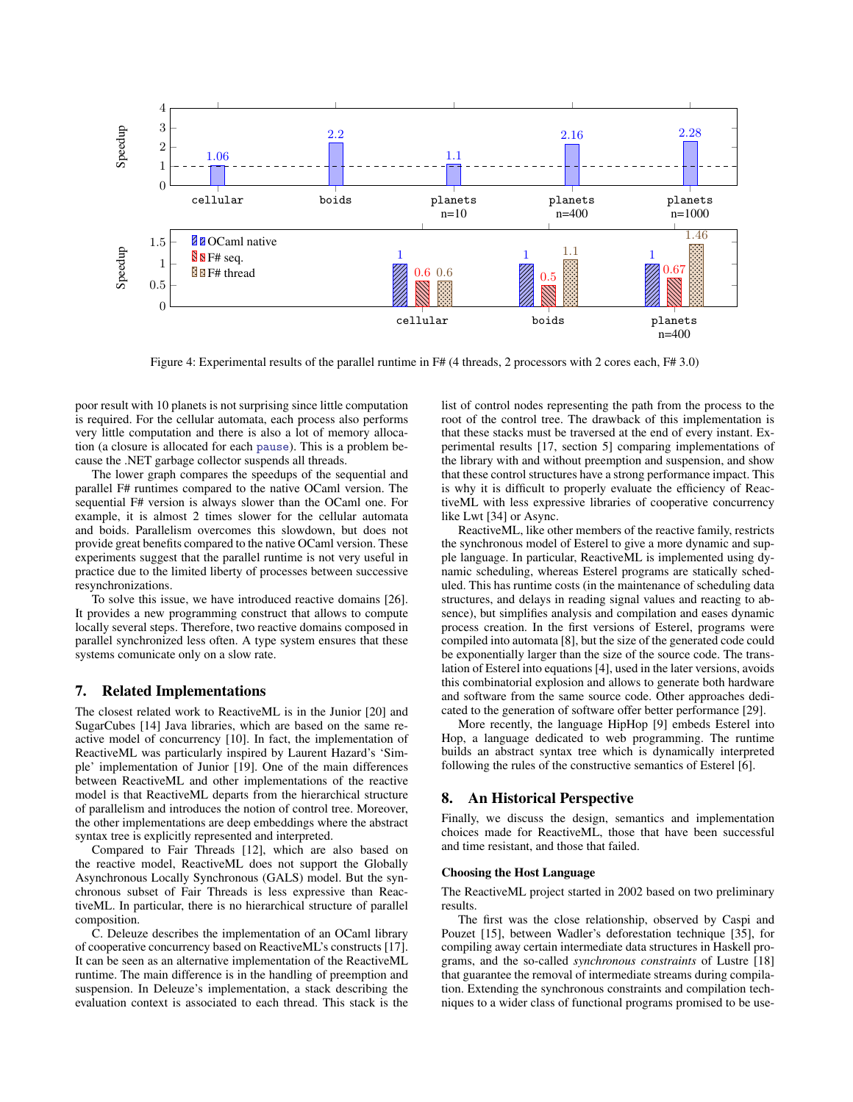<span id="page-8-2"></span>

Figure 4: Experimental results of the parallel runtime in F# (4 threads, 2 processors with 2 cores each, F# 3.0)

poor result with 10 planets is not surprising since little computation is required. For the cellular automata, each process also performs very little computation and there is also a lot of memory allocation (a closure is allocated for each pause). This is a problem because the .NET garbage collector suspends all threads.

The lower graph compares the speedups of the sequential and parallel F# runtimes compared to the native OCaml version. The sequential F# version is always slower than the OCaml one. For example, it is almost 2 times slower for the cellular automata and boids. Parallelism overcomes this slowdown, but does not provide great benefits compared to the native OCaml version. These experiments suggest that the parallel runtime is not very useful in practice due to the limited liberty of processes between successive resynchronizations.

To solve this issue, we have introduced reactive domains [\[26\]](#page-11-13). It provides a new programming construct that allows to compute locally several steps. Therefore, two reactive domains composed in parallel synchronized less often. A type system ensures that these systems comunicate only on a slow rate.

# <span id="page-8-0"></span>7. Related Implementations

The closest related work to ReactiveML is in the Junior [\[20\]](#page-11-14) and SugarCubes [\[14\]](#page-11-15) Java libraries, which are based on the same reactive model of concurrency [\[10\]](#page-11-2). In fact, the implementation of ReactiveML was particularly inspired by Laurent Hazard's 'Simple' implementation of Junior [\[19\]](#page-11-16). One of the main differences between ReactiveML and other implementations of the reactive model is that ReactiveML departs from the hierarchical structure of parallelism and introduces the notion of control tree. Moreover, the other implementations are deep embeddings where the abstract syntax tree is explicitly represented and interpreted.

Compared to Fair Threads [\[12\]](#page-11-17), which are also based on the reactive model, ReactiveML does not support the Globally Asynchronous Locally Synchronous (GALS) model. But the synchronous subset of Fair Threads is less expressive than ReactiveML. In particular, there is no hierarchical structure of parallel composition.

C. Deleuze describes the implementation of an OCaml library of cooperative concurrency based on ReactiveML's constructs [\[17\]](#page-11-18). It can be seen as an alternative implementation of the ReactiveML runtime. The main difference is in the handling of preemption and suspension. In Deleuze's implementation, a stack describing the evaluation context is associated to each thread. This stack is the list of control nodes representing the path from the process to the root of the control tree. The drawback of this implementation is that these stacks must be traversed at the end of every instant. Experimental results [\[17,](#page-11-18) section 5] comparing implementations of the library with and without preemption and suspension, and show that these control structures have a strong performance impact. This is why it is difficult to properly evaluate the efficiency of ReactiveML with less expressive libraries of cooperative concurrency like Lwt [\[34\]](#page-11-19) or Async.

ReactiveML, like other members of the reactive family, restricts the synchronous model of Esterel to give a more dynamic and supple language. In particular, ReactiveML is implemented using dynamic scheduling, whereas Esterel programs are statically scheduled. This has runtime costs (in the maintenance of scheduling data structures, and delays in reading signal values and reacting to absence), but simplifies analysis and compilation and eases dynamic process creation. In the first versions of Esterel, programs were compiled into automata [\[8\]](#page-11-0), but the size of the generated code could be exponentially larger than the size of the source code. The translation of Esterel into equations [\[4\]](#page-10-2), used in the later versions, avoids this combinatorial explosion and allows to generate both hardware and software from the same source code. Other approaches dedicated to the generation of software offer better performance [\[29\]](#page-11-20).

More recently, the language HipHop [\[9\]](#page-11-21) embeds Esterel into Hop, a language dedicated to web programming. The runtime builds an abstract syntax tree which is dynamically interpreted following the rules of the constructive semantics of Esterel [\[6\]](#page-10-3).

#### <span id="page-8-1"></span>8. An Historical Perspective

Finally, we discuss the design, semantics and implementation choices made for ReactiveML, those that have been successful and time resistant, and those that failed.

#### Choosing the Host Language

The ReactiveML project started in 2002 based on two preliminary results.

The first was the close relationship, observed by Caspi and Pouzet [\[15\]](#page-11-22), between Wadler's deforestation technique [\[35\]](#page-11-23), for compiling away certain intermediate data structures in Haskell programs, and the so-called *synchronous constraints* of Lustre [\[18\]](#page-11-24) that guarantee the removal of intermediate streams during compilation. Extending the synchronous constraints and compilation techniques to a wider class of functional programs promised to be use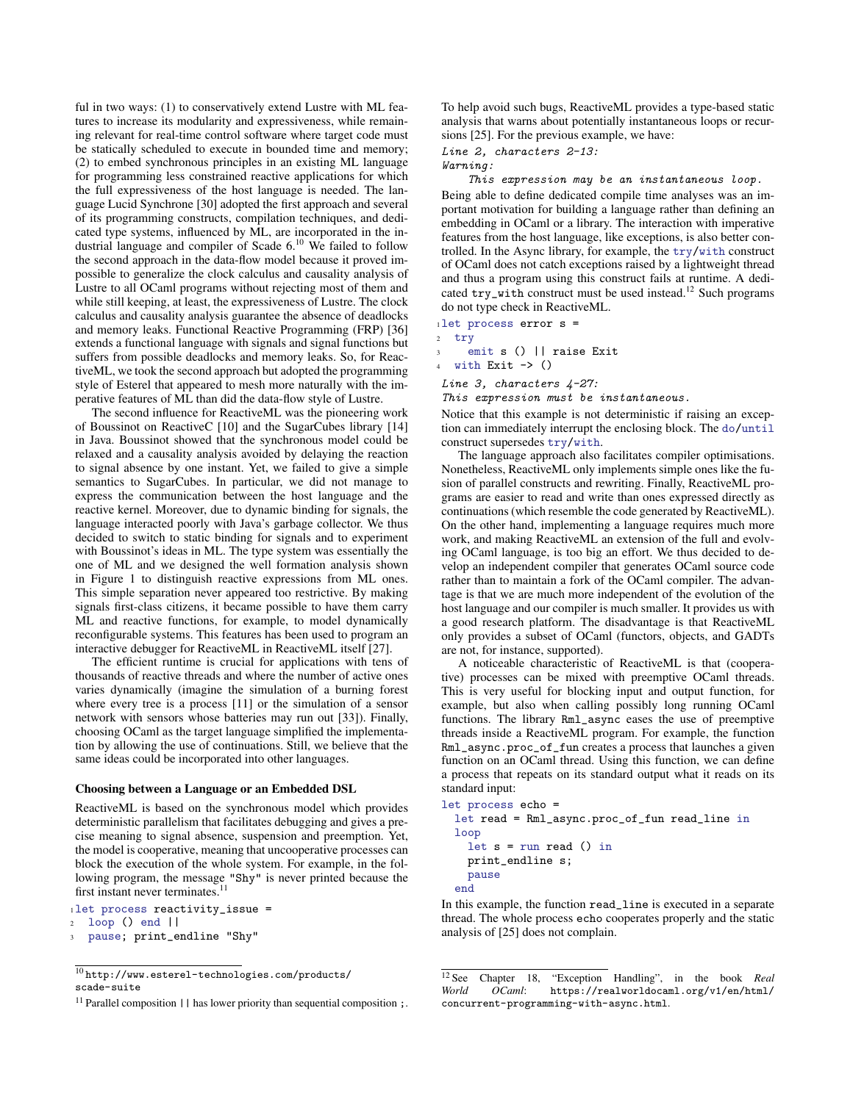ful in two ways: (1) to conservatively extend Lustre with ML features to increase its modularity and expressiveness, while remaining relevant for real-time control software where target code must be statically scheduled to execute in bounded time and memory; (2) to embed synchronous principles in an existing ML language for programming less constrained reactive applications for which the full expressiveness of the host language is needed. The language Lucid Synchrone [\[30\]](#page-11-25) adopted the first approach and several of its programming constructs, compilation techniques, and dedicated type systems, influenced by ML, are incorporated in the industrial language and compiler of Scade 6.[10](#page-9-0) We failed to follow the second approach in the data-flow model because it proved impossible to generalize the clock calculus and causality analysis of Lustre to all OCaml programs without rejecting most of them and while still keeping, at least, the expressiveness of Lustre. The clock calculus and causality analysis guarantee the absence of deadlocks and memory leaks. Functional Reactive Programming (FRP) [\[36\]](#page-11-26) extends a functional language with signals and signal functions but suffers from possible deadlocks and memory leaks. So, for ReactiveML, we took the second approach but adopted the programming style of Esterel that appeared to mesh more naturally with the imperative features of ML than did the data-flow style of Lustre.

The second influence for ReactiveML was the pioneering work of Boussinot on ReactiveC [\[10\]](#page-11-2) and the SugarCubes library [\[14\]](#page-11-15) in Java. Boussinot showed that the synchronous model could be relaxed and a causality analysis avoided by delaying the reaction to signal absence by one instant. Yet, we failed to give a simple semantics to SugarCubes. In particular, we did not manage to express the communication between the host language and the reactive kernel. Moreover, due to dynamic binding for signals, the language interacted poorly with Java's garbage collector. We thus decided to switch to static binding for signals and to experiment with Boussinot's ideas in ML. The type system was essentially the one of ML and we designed the well formation analysis shown in Figure [1](#page-4-1) to distinguish reactive expressions from ML ones. This simple separation never appeared too restrictive. By making signals first-class citizens, it became possible to have them carry ML and reactive functions, for example, to model dynamically reconfigurable systems. This features has been used to program an interactive debugger for ReactiveML in ReactiveML itself [\[27\]](#page-11-27).

The efficient runtime is crucial for applications with tens of thousands of reactive threads and where the number of active ones varies dynamically (imagine the simulation of a burning forest where every tree is a process [\[11\]](#page-11-10) or the simulation of a sensor network with sensors whose batteries may run out [\[33\]](#page-11-28)). Finally, choosing OCaml as the target language simplified the implementation by allowing the use of continuations. Still, we believe that the same ideas could be incorporated into other languages.

#### Choosing between a Language or an Embedded DSL

ReactiveML is based on the synchronous model which provides deterministic parallelism that facilitates debugging and gives a precise meaning to signal absence, suspension and preemption. Yet, the model is cooperative, meaning that uncooperative processes can block the execution of the whole system. For example, in the following program, the message "Shy" is never printed because the first instant never terminates.<sup>[11](#page-9-1)</sup>

<sup>1</sup>let process reactivity\_issue =

loop () end ||

pause; print\_endline "Shy"

<span id="page-9-1"></span><sup>11</sup> Parallel composition | | has lower priority than sequential composition ;.

To help avoid such bugs, ReactiveML provides a type-based static analysis that warns about potentially instantaneous loops or recursions [\[25\]](#page-11-29). For the previous example, we have:

Line 2, characters 2-13:

```
Warning:
```
This expression may be an instantaneous loop.

Being able to define dedicated compile time analyses was an important motivation for building a language rather than defining an embedding in OCaml or a library. The interaction with imperative features from the host language, like exceptions, is also better controlled. In the Async library, for example, the try/with construct of OCaml does not catch exceptions raised by a lightweight thread and thus a program using this construct fails at runtime. A dedicated try\_with construct must be used instead.[12](#page-9-2) Such programs do not type check in ReactiveML.

<sup>1</sup>let process error s =

<sup>2</sup> try

emit s () || raise Exit

```
with Exit \rightarrow ()
```
Line 3, characters  $4-27$ :

This expression must be instantaneous.

Notice that this example is not deterministic if raising an exception can immediately interrupt the enclosing block. The do/until construct supersedes try/with.

The language approach also facilitates compiler optimisations. Nonetheless, ReactiveML only implements simple ones like the fusion of parallel constructs and rewriting. Finally, ReactiveML programs are easier to read and write than ones expressed directly as continuations (which resemble the code generated by ReactiveML). On the other hand, implementing a language requires much more work, and making ReactiveML an extension of the full and evolving OCaml language, is too big an effort. We thus decided to develop an independent compiler that generates OCaml source code rather than to maintain a fork of the OCaml compiler. The advantage is that we are much more independent of the evolution of the host language and our compiler is much smaller. It provides us with a good research platform. The disadvantage is that ReactiveML only provides a subset of OCaml (functors, objects, and GADTs are not, for instance, supported).

A noticeable characteristic of ReactiveML is that (cooperative) processes can be mixed with preemptive OCaml threads. This is very useful for blocking input and output function, for example, but also when calling possibly long running OCaml functions. The library Rml\_async eases the use of preemptive threads inside a ReactiveML program. For example, the function Rml\_async.proc\_of\_fun creates a process that launches a given function on an OCaml thread. Using this function, we can define a process that repeats on its standard output what it reads on its standard input:

```
let process echo =
  let read = Rml_async.proc_of_fun read_line in
  loop
    let s = run read() inprint_endline s;
    pause
  end
```
In this example, the function read\_line is executed in a separate thread. The whole process echo cooperates properly and the static analysis of [\[25\]](#page-11-29) does not complain.

<span id="page-9-0"></span> $\frac{10}{10}$ [http://www.esterel-technologies.com/products/](http://www.esterel-technologies.com/products/scade-suite) [scade-suite](http://www.esterel-technologies.com/products/scade-suite)

<span id="page-9-2"></span><sup>12</sup> See Chapter 18, "Exception Handling", in the book *Real World OCaml*: [https://realworldocaml.org/v1/en/html/](https://realworldocaml.org/v1/en/html/concurrent-programming-with-async.html) [concurrent-programming-with-async.html](https://realworldocaml.org/v1/en/html/concurrent-programming-with-async.html).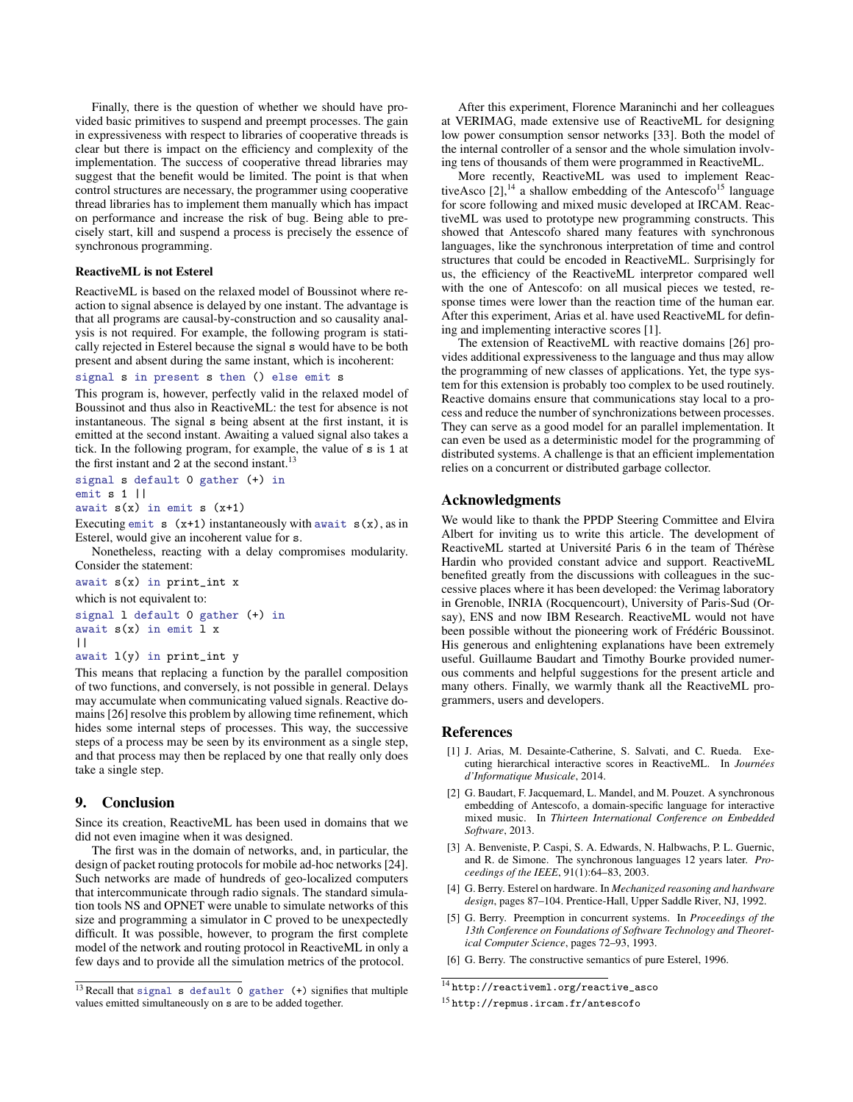Finally, there is the question of whether we should have provided basic primitives to suspend and preempt processes. The gain in expressiveness with respect to libraries of cooperative threads is clear but there is impact on the efficiency and complexity of the implementation. The success of cooperative thread libraries may suggest that the benefit would be limited. The point is that when control structures are necessary, the programmer using cooperative thread libraries has to implement them manually which has impact on performance and increase the risk of bug. Being able to precisely start, kill and suspend a process is precisely the essence of synchronous programming.

#### ReactiveML is not Esterel

ReactiveML is based on the relaxed model of Boussinot where reaction to signal absence is delayed by one instant. The advantage is that all programs are causal-by-construction and so causality analysis is not required. For example, the following program is statically rejected in Esterel because the signal s would have to be both present and absent during the same instant, which is incoherent:

#### signal s in present s then () else emit s

This program is, however, perfectly valid in the relaxed model of Boussinot and thus also in ReactiveML: the test for absence is not instantaneous. The signal s being absent at the first instant, it is emitted at the second instant. Awaiting a valued signal also takes a tick. In the following program, for example, the value of s is 1 at the first instant and 2 at the second instant. $13$ 

signal s default 0 gather (+) in emit s 1 || await  $s(x)$  in emit  $s(x+1)$ 

Executing emit s  $(x+1)$  instantaneously with await  $s(x)$ , as in Esterel, would give an incoherent value for s.

Nonetheless, reacting with a delay compromises modularity. Consider the statement:

await  $s(x)$  in print\_int x

```
which is not equivalent to:
```

```
signal l default 0 gather (+) in
await s(x) in emit l x| \ |
```
await  $l(y)$  in print\_int y

This means that replacing a function by the parallel composition of two functions, and conversely, is not possible in general. Delays may accumulate when communicating valued signals. Reactive domains [\[26\]](#page-11-13) resolve this problem by allowing time refinement, which hides some internal steps of processes. This way, the successive steps of a process may be seen by its environment as a single step, and that process may then be replaced by one that really only does take a single step.

# 9. Conclusion

Since its creation, ReactiveML has been used in domains that we did not even imagine when it was designed.

The first was in the domain of networks, and, in particular, the design of packet routing protocols for mobile ad-hoc networks [\[24\]](#page-11-30). Such networks are made of hundreds of geo-localized computers that intercommunicate through radio signals. The standard simulation tools NS and OPNET were unable to simulate networks of this size and programming a simulator in C proved to be unexpectedly difficult. It was possible, however, to program the first complete model of the network and routing protocol in ReactiveML in only a few days and to provide all the simulation metrics of the protocol.

After this experiment, Florence Maraninchi and her colleagues at VERIMAG, made extensive use of ReactiveML for designing low power consumption sensor networks [\[33\]](#page-11-28). Both the model of the internal controller of a sensor and the whole simulation involving tens of thousands of them were programmed in ReactiveML.

More recently, ReactiveML was used to implement ReactiveAsco  $[2]$ ,<sup>[14](#page-10-6)</sup> a shallow embedding of the Antescofo<sup>[15](#page-10-7)</sup> language for score following and mixed music developed at IRCAM. ReactiveML was used to prototype new programming constructs. This showed that Antescofo shared many features with synchronous languages, like the synchronous interpretation of time and control structures that could be encoded in ReactiveML. Surprisingly for us, the efficiency of the ReactiveML interpretor compared well with the one of Antescofo: on all musical pieces we tested, response times were lower than the reaction time of the human ear. After this experiment, Arias et al. have used ReactiveML for defining and implementing interactive scores [\[1\]](#page-10-8).

The extension of ReactiveML with reactive domains [\[26\]](#page-11-13) provides additional expressiveness to the language and thus may allow the programming of new classes of applications. Yet, the type system for this extension is probably too complex to be used routinely. Reactive domains ensure that communications stay local to a process and reduce the number of synchronizations between processes. They can serve as a good model for an parallel implementation. It can even be used as a deterministic model for the programming of distributed systems. A challenge is that an efficient implementation relies on a concurrent or distributed garbage collector.

## Acknowledgments

We would like to thank the PPDP Steering Committee and Elvira Albert for inviting us to write this article. The development of ReactiveML started at Université Paris 6 in the team of Thérèse Hardin who provided constant advice and support. ReactiveML benefited greatly from the discussions with colleagues in the successive places where it has been developed: the Verimag laboratory in Grenoble, INRIA (Rocquencourt), University of Paris-Sud (Orsay), ENS and now IBM Research. ReactiveML would not have been possible without the pioneering work of Frédéric Boussinot. His generous and enlightening explanations have been extremely useful. Guillaume Baudart and Timothy Bourke provided numerous comments and helpful suggestions for the present article and many others. Finally, we warmly thank all the ReactiveML programmers, users and developers.

# **References**

- <span id="page-10-8"></span>[1] J. Arias, M. Desainte-Catherine, S. Salvati, and C. Rueda. Executing hierarchical interactive scores in ReactiveML. In *Journees ´ d'Informatique Musicale*, 2014.
- <span id="page-10-5"></span>[2] G. Baudart, F. Jacquemard, L. Mandel, and M. Pouzet. A synchronous embedding of Antescofo, a domain-specific language for interactive mixed music. In *Thirteen International Conference on Embedded Software*, 2013.
- <span id="page-10-1"></span>[3] A. Benveniste, P. Caspi, S. A. Edwards, N. Halbwachs, P. L. Guernic, and R. de Simone. The synchronous languages 12 years later. *Proceedings of the IEEE*, 91(1):64–83, 2003.
- <span id="page-10-2"></span>[4] G. Berry. Esterel on hardware. In *Mechanized reasoning and hardware design*, pages 87–104. Prentice-Hall, Upper Saddle River, NJ, 1992.
- <span id="page-10-0"></span>[5] G. Berry. Preemption in concurrent systems. In *Proceedings of the 13th Conference on Foundations of Software Technology and Theoretical Computer Science*, pages 72–93, 1993.

<span id="page-10-4"></span> $13$  Recall that signal s default 0 gather (+) signifies that multiple values emitted simultaneously on s are to be added together.

<span id="page-10-3"></span><sup>[6]</sup> G. Berry. The constructive semantics of pure Esterel, 1996.

<span id="page-10-6"></span> $\overline{^{14}\text{http://reactiveml.org/reactive_assoc}}$ 

<span id="page-10-7"></span><sup>15</sup> <http://repmus.ircam.fr/antescofo>